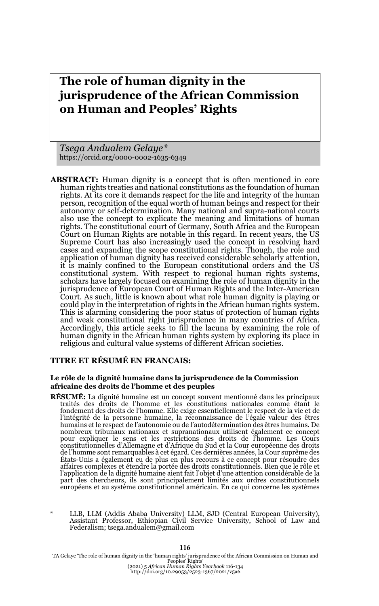# **The role of human dignity in the jurisprudence of the African Commission on Human and Peoples' Rights**

*Tsega Andualem Gelaye\** https://orcid.org/0000-0002-1635-6349

**ABSTRACT:** Human dignity is a concept that is often mentioned in core human rights treaties and national constitutions as the foundation of human rights. At its core it demands respect for the life and integrity of the human person, recognition of the equal worth of human beings and respect for their autonomy or self-determination. Many national and supra-national courts also use the concept to explicate the meaning and limitations of human rights. The constitutional court of Germany, South Africa and the European Court on Human Rights are notable in this regard. In recent years, the US Supreme Court has also increasingly used the concept in resolving hard cases and expanding the scope constitutional rights. Though, the role and application of human dignity has received considerable scholarly attention, it is mainly confined to the European constitutional orders and the US constitutional system. With respect to regional human rights systems, scholars have largely focused on examining the role of human dignity in the jurisprudence of European Court of Human Rights and the Inter-American Court. As such, little is known about what role human dignity is playing or could play in the interpretation of rights in the African human rights system. This is alarming considering the poor status of protection of human rights and weak constitutional right jurisprudence in many countries of Africa. Accordingly, this article seeks to fill the lacuna by examining the role of human dignity in the African human rights system by exploring its place in religious and cultural value systems of different African societies.

#### **TITRE ET RÉSUMÉ EN FRANCAIS:**

#### **Le rôle de la dignité humaine dans la jurisprudence de la Commission africaine des droits de l'homme et des peuples**

- **RÉSUMÉ:** La dignité humaine est un concept souvent mentionné dans les principaux traités des droits de l'homme et les constitutions nationales comme étant le fondement des droits de l'homme. Elle exige essentiellement le respect de la vie et de l'intégrité de la personne humaine, la reconnaissance de l'égale valeur des êtres humains et le respect de l'autonomie ou de l'autodétermination des êtres humains. De nombreux tribunaux nationaux et supranationaux utilisent également ce concept pour expliquer le sens et les restrictions des droits de l'homme. Les Cours constitutionnelles d'Allemagne et d'Afrique du Sud et la Cour européenne des droits de l'homme sont remarquables à cet égard. Ces dernières années, la Cour suprême des États-Unis a également eu de plus en plus recours à ce concept pour résoudre des affaires complexes et étendre la portée des droits constitutionnels. Bien que le rôle et l'application de la dignité humaine aient fait l'objet d'une attention considérable de la part des chercheurs, ils sont principalement limités aux ordres constitutionnels européens et au système constitutionnel américain. En ce qui concerne les systèmes
- LLB, LLM (Addis Ababa University) LLM, SJD (Central European University), Assistant Professor, Ethiopian Civil Service University, School of Law and Federalism; tsega.andualem@gmail.com

TA Gelaye 'The role of human dignity in the 'human rights' jurisprudence of the African Commission on Human and<br>Peoples' Rights'<br>http://doi.org/10.20213/2523-1367/2021/v5a6<br>http://doi.org/10.20053/2523-1367/2021/v5a6

#### **116**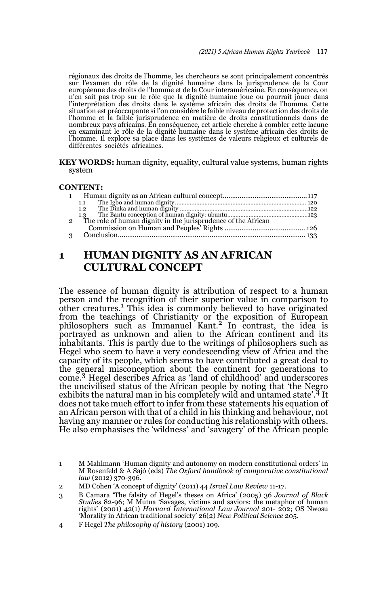régionaux des droits de l'homme, les chercheurs se sont principalement concentrés sur l'examen du rôle de la dignité humaine dans la jurisprudence de la Cour européenne des droits de l'homme et de la Cour interaméricaine. En conséquence, on n'en sait pas trop sur le rôle que la dignité humaine joue ou pourrait jouer dans l'interprétation des droits dans le système africain des droits de l'homme. Cette situation est préoccupante si l'on considère le faible niveau de protection des droits de l'homme et la faible jurisprudence en matière de droits constitutionnels dans de nombreux pays africains. En conséquence, cet article cherche à combler cette lacune en examinant le rôle de la dignité humaine dans le système africain des droits de l'homme. Il explore sa place dans les systèmes de valeurs religieux et culturels de différentes sociétés africaines.

**KEY WORDS:** human dignity, equality, cultural value systems, human rights system

#### **CONTENT:**

|               | 1.1 |  |
|---------------|-----|--|
|               | 1.2 |  |
|               |     |  |
| $\mathcal{P}$ |     |  |
|               |     |  |
| $\mathcal{R}$ |     |  |
|               |     |  |

## **1 HUMAN DIGNITY AS AN AFRICAN CULTURAL CONCEPT**

The essence of human dignity is attribution of respect to a human person and the recognition of their superior value in comparison to other creatures.<sup>1</sup> This idea is commonly believed to have originated from the teachings of Christianity or the exposition of European philosophers such as Immanuel Kant.<sup>2</sup> In contrast, the idea is portrayed as unknown and alien to the African continent and its inhabitants. This is partly due to the writings of philosophers such as Hegel who seem to have a very condescending view of Africa and the capacity of its people, which seems to have contributed a great deal to the general misconception about the continent for generations to come.3 Hegel describes Africa as 'land of childhood' and underscores the uncivilised status of the African people by noting that 'the Negro exhibits the natural man in his completely wild and untamed state'.<sup>4</sup> It does not take much effort to infer from these statements his equation of an African person with that of a child in his thinking and behaviour, not having any manner or rules for conducting his relationship with others. He also emphasises the 'wildness' and 'savagery' of the African people

<sup>1</sup> M Mahlmann 'Human dignity and autonomy on modern constitutional orders' in M Rosenfeld & A Sajó (eds) *The Oxford handbook of comparative constitutional law* (2012) 370-396.

<sup>2</sup> MD Cohen 'A concept of dignity' (2011) 44 *Israel Law Review* 11-17.

<sup>3</sup> B Camara 'The falsity of Hegel's theses on Africa' (2005) 36 *Journal of Black Studies* 82-96; M Mutua 'Savages, victims and saviors: the metaphor of human rights' (2001) 42(1) *Harvard International Law Journal* 201- 202; OS Nwosu 'Morality in African traditional society' 26(2) *New Political Science* 205.

<sup>4</sup> F Hegel *The philosophy of history* (2001) 109.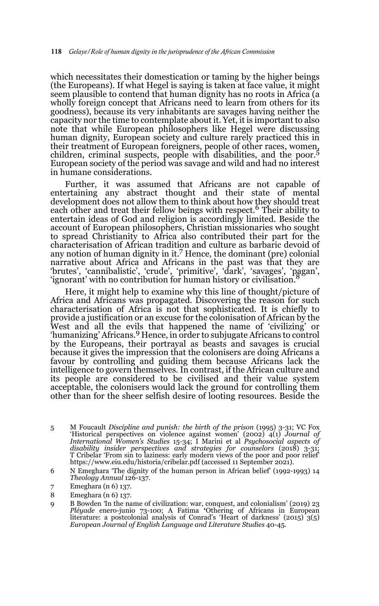which necessitates their domestication or taming by the higher beings (the Europeans). If what Hegel is saying is taken at face value, it might seem plausible to contend that human dignity has no roots in Africa (a wholly foreign concept that Africans need to learn from others for its goodness), because its very inhabitants are savages having neither the capacity nor the time to contemplate about it. Yet, it is important to also note that while European philosophers like Hegel were discussing human dignity, European society and culture rarely practiced this in their treatment of European foreigners, people of other races, women, children, criminal suspects, people with disabilities, and the poor.<sup>5</sup> European society of the period was savage and wild and had no interest in humane considerations.

Further, it was assumed that Africans are not capable of entertaining any abstract thought and their state of mental development does not allow them to think about how they should treat<br>each other and treat their fellow beings with respect.<sup>6</sup> Their ability to entertain ideas of God and religion is accordingly limited. Beside the account of European philosophers, Christian missionaries who sought to spread Christianity to Africa also contributed their part for the characterisation of African tradition and culture as barbaric devoid of any notion of human dignity in it.7 Hence, the dominant (pre) colonial narrative about Africa and Africans in the past was that they are 'brutes', 'cannibalistic', 'crude', 'primitive', 'dark', 'savages', 'pagan', 'ignorant' with no contribution for human history or civilisation.8

Here, it might help to examine why this line of thought/picture of Africa and Africans was propagated. Discovering the reason for such characterisation of Africa is not that sophisticated. It is chiefly to provide a justification or an excuse for the colonisation of African by the West and all the evils that happened the name of 'civilizing' or 'humanizing' Africans.9 Hence, in order to subjugate Africans to control by the Europeans, their portrayal as beasts and savages is crucial because it gives the impression that the colonisers are doing Africans a favour by controlling and guiding them because Africans lack the intelligence to govern themselves. In contrast, if the African culture and its people are considered to be civilised and their value system acceptable, the colonisers would lack the ground for controlling them other than for the sheer selfish desire of looting resources. Beside the

- 5 M Foucault *Discipline and punish: the birth of the prison* (1995) 3-31; VC Fox 'Historical perspectives on violence against women' (2002) 4(1) *Journal of* International Women's Studies 15-34; I Marini et al Psychosocial aspects of<br>disability insider perspectives and strategies for counselors (2018) 3-31;<br>T Cribelar 'From sin to laziness: early modern views of the poor and po https://www.eiu.edu/historia/cribelar.pdf (accessed 11 September 2021).
- 6 N Emeghara 'The dignity of the human person in African belief' (1992-1993) 14 *Theology Annual* 126-137.
- 7 Emeghara (n 6) 137.
- 8 Emeghara (n 6) 137.
- 9 B Bowden In the name of civilization: war, conquest, and colonialism' (2019) 23<br>*Pléyade* enero-junio 73-100; A Fatima 'Othering of Africans in European<br>literature: a postcolonial analysis of Conrad's 'Heart of darkness' *European Journal of English Language and Literature Studies* 40-45.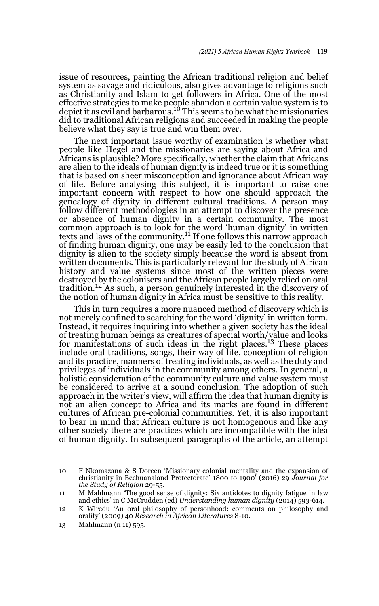issue of resources, painting the African traditional religion and belief system as savage and ridiculous, also gives advantage to religions such as Christianity and Islam to get followers in Africa. One of the most effective strategies to make people abandon a certain value system is to depict it as evil and barbarous.10 This seems to be what the missionaries did to traditional African religions and succeeded in making the people believe what they say is true and win them over.

The next important issue worthy of examination is whether what people like Hegel and the missionaries are saying about Africa and Africans is plausible? More specifically, whether the claim that Africans are alien to the ideals of human dignity is indeed true or it is something that is based on sheer misconception and ignorance about African way of life. Before analysing this subject, it is important to raise one important concern with respect to how one should approach the genealogy of dignity in different cultural traditions. A person may follow different methodologies in an attempt to discover the presence or absence of human dignity in a certain community. The most common approach is to look for the word 'human dignity' in written texts and laws of the community.<sup>11</sup> If one follows this narrow approach of finding human dignity, one may be easily led to the conclusion that dignity is alien to the society simply because the word is absent from written documents. This is particularly relevant for the study of African history and value systems since most of the written pieces were destroyed by the colonisers and the African people largely relied on oral tradition.12 As such, a person genuinely interested in the discovery of the notion of human dignity in Africa must be sensitive to this reality.

This in turn requires a more nuanced method of discovery which is not merely confined to searching for the word 'dignity' in written form. Instead, it requires inquiring into whether a given society has the ideal of treating human beings as creatures of special worth/value and looks for manifestations of such ideas in the right places.13 These places include oral traditions, songs, their way of life, conception of religion and its practice, manners of treating individuals, as well as the duty and privileges of individuals in the community among others. In general, a holistic consideration of the community culture and value system must be considered to arrive at a sound conclusion. The adoption of such approach in the writer's view, will affirm the idea that human dignity is not an alien concept to Africa and its marks are found in different cultures of African pre-colonial communities. Yet, it is also important to bear in mind that African culture is not homogenous and like any other society there are practices which are incompatible with the idea of human dignity. In subsequent paragraphs of the article, an attempt

<sup>10</sup> F Nkomazana & S Doreen 'Missionary colonial mentality and the expansion of christianity in Bechuanaland Protectorate' 1800 to 1900' (2016) 29 *Journal for the Study of Religion* 29-55.

<sup>11</sup> M Mahlmann 'The good sense of dignity: Six antidotes to dignity fatigue in law and ethics' in C McCrudden (ed) *Understanding human dignity* (2014) 593-614.

<sup>12</sup> K Wiredu 'An oral philosophy of personhood: comments on philosophy and orality' (2009) 40 *Research in African Literatures* 8-10.

<sup>13</sup> Mahlmann (n 11) 595.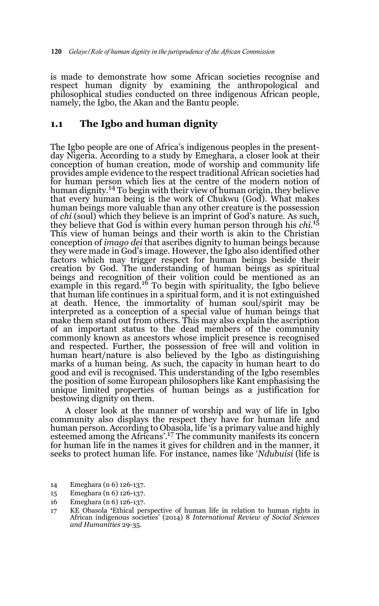is made to demonstrate how some African societies recognise and respect human dignity by examining the anthropological and philosophical studies conducted on three indigenous African people, namely, the Igbo, the Akan and the Bantu people.

### **1.1 The Igbo and human dignity**

The Igbo people are one of Africa's indigenous peoples in the presentday Nigeria. According to a study by Emeghara, a closer look at their conception of human creation, mode of worship and community life provides ample evidence to the respect traditional African societies had for human person which lies at the centre of the modern notion of human dignity.14 To begin with their view of human origin, they believe that every human being is the work of Chukwu (God). What makes human beings more valuable than any other creature is the possession of *chi* (soul) which they believe is an imprint of God's nature. As such, they believe that God is within every human person through his *chi*.<sup>15</sup> This view of human beings and their worth is akin to the Christian conception of *imago dei* that ascribes dignity to human beings because they were made in God's image. However, the Igbo also identified other factors which may trigger respect for human beings beside their creation by God. The understanding of human beings as spiritual beings and recognition of their volition could be mentioned as an example in this regard.<sup>16</sup> To begin with spirituality, the Igbo believe that human life continues in a spiritual form, and it is not extinguished at death. Hence, the immortality of human soul/spirit may be interpreted as a conception of a special value of human beings that make them stand out from others. This may also explain the ascription of an important status to the dead members of the community commonly known as ancestors whose implicit presence is recognised and respected. Further, the possession of free will and volition in human heart/nature is also believed by the Igbo as distinguishing marks of a human being. As such, the capacity in human heart to do good and evil is recognised. This understanding of the Igbo resembles the position of some European philosophers like Kant emphasising the unique limited properties of human beings as a justification for bestowing dignity on them.

A closer look at the manner of worship and way of life in Igbo community also displays the respect they have for human life and human person. According to Obasola, life 'is a primary value and highly esteemed among the Africans'.17 The community manifests its concern for human life in the names it gives for children and in the manner, it seeks to protect human life. For instance, names like '*Ndubuisi* (life is

14 Emeghara (n 6) 126-137.

<sup>15</sup> Emeghara (n 6) 126-137.

<sup>16</sup> Emeghara (n 6) 126-137.

<sup>17</sup> KE Obasola **'**Ethical perspective of human life in relation to human rights in African indigenous societies' (2014) 8 *International Review of Social Sciences and Humanities* 29-35.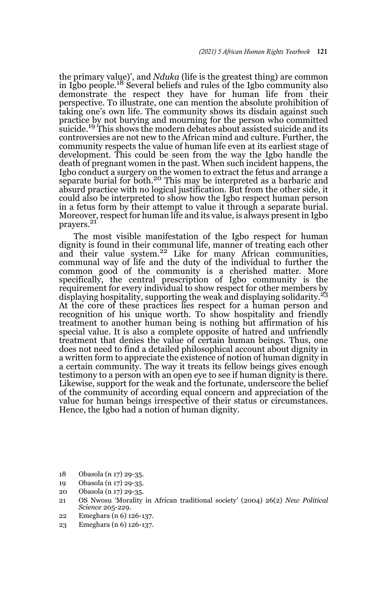the primary value)', and *Nduka* (life is the greatest thing) are common in Igbo people.18 Several beliefs and rules of the Igbo community also demonstrate the respect they have for human life from their perspective. To illustrate, one can mention the absolute prohibition of taking one's own life. The community shows its disdain against such practice by not burying and mourning for the person who committed suicide.<sup>19</sup> This shows the modern debates about assisted suicide and its controversies are not new to the African mind and culture. Further, the community respects the value of human life even at its earliest stage of development. This could be seen from the way the Igbo handle the death of pregnant women in the past. When such incident happens, the Igbo conduct a surgery on the women to extract the fetus and arrange a separate burial for both.<sup>20</sup> This may be interpreted as a barbaric and absurd practice with no logical justification. But from the other side, it could also be interpreted to show how the Igbo respect human person in a fetus form by their attempt to value it through a separate burial. Moreover, respect for human life and its value, is always present in Igbo prayers.<sup>21</sup>

The most visible manifestation of the Igbo respect for human dignity is found in their communal life, manner of treating each other and their value system.<sup>22</sup> Like for many African communities, communal way of life and the duty of the individual to further the common good of the community is a cherished matter. More specifically, the central prescription of Igbo community is the requirement for every individual to show respect for other members by displaying hospitality, supporting the weak and displaying solidarity.<sup>23</sup> At the core of these practices lies respect for a human person and recognition of his unique worth. To show hospitality and friendly treatment to another human being is nothing but affirmation of his special value. It is also a complete opposite of hatred and unfriendly treatment that denies the value of certain human beings. Thus, one does not need to find a detailed philosophical account about dignity in a written form to appreciate the existence of notion of human dignity in a certain community. The way it treats its fellow beings gives enough testimony to a person with an open eye to see if human dignity is there. Likewise, support for the weak and the fortunate, underscore the belief of the community of according equal concern and appreciation of the value for human beings irrespective of their status or circumstances. Hence, the Igbo had a notion of human dignity.

- 18 Obasola (n 17) 29-35.
- 19 Obasola (n 17) 29-35.
- 20 Obasola (n 17) 29-35.
- 21 OS Nwosu 'Morality in African traditional society' (2004) 26(2) *New Political Science* 205-229.
- 22 Emeghara (n 6) 126-137.
- 23 Emeghara (n 6) 126-137.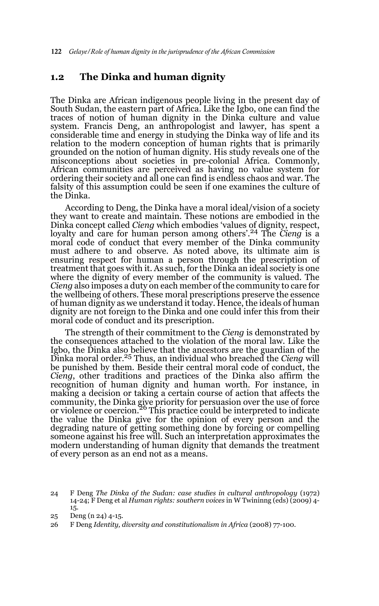### **1.2 The Dinka and human dignity**

The Dinka are African indigenous people living in the present day of South Sudan, the eastern part of Africa. Like the Igbo, one can find the traces of notion of human dignity in the Dinka culture and value system. Francis Deng, an anthropologist and lawyer, has spent a considerable time and energy in studying the Dinka way of life and its relation to the modern conception of human rights that is primarily grounded on the notion of human dignity. His study reveals one of the misconceptions about societies in pre-colonial Africa. Commonly, African communities are perceived as having no value system for ordering their society and all one can find is endless chaos and war. The falsity of this assumption could be seen if one examines the culture of the Dinka.

According to Deng, the Dinka have a moral ideal/vision of a society they want to create and maintain. These notions are embodied in the Dinka concept called *Cieng* which embodies 'values of dignity, respect, loyalty and care for human person among others'.<sup>24</sup> The *Cieng* is a moral code of conduct that every member of the Dinka community must adhere to and observe. As noted above, its ultimate aim is ensuring respect for human a person through the prescription of treatment that goes with it. As such, for the Dinka an ideal society is one where the dignity of every member of the community is valued. The *Cieng* also imposes a duty on each member of the community to care for the wellbeing of others. These moral prescriptions preserve the essence of human dignity as we understand it today. Hence, the ideals of human dignity are not foreign to the Dinka and one could infer this from their moral code of conduct and its prescription.

The strength of their commitment to the *Cieng* is demonstrated by the consequences attached to the violation of the moral law. Like the Igbo, the Dinka also believe that the ancestors are the guardian of the Dinka moral order.25 Thus, an individual who breached the *Cieng* will be punished by them. Beside their central moral code of conduct, the *Cieng*, other traditions and practices of the Dinka also affirm the recognition of human dignity and human worth. For instance, in making a decision or taking a certain course of action that affects the community, the Dinka give priority for persuasion over the use of force or violence or coercion.<sup>26</sup> This practice could be interpreted to indicate the value the Dinka give for the opinion of every person and the degrading nature of getting something done by forcing or compelling someone against his free will. Such an interpretation approximates the modern understanding of human dignity that demands the treatment of every person as an end not as a means.

<sup>24</sup> F Deng *The Dinka of the Sudan: case studies in cultural anthropology* (1972) 14-24; F Deng et al *Human rights: southern voices* in W Twininng (eds) (2009) 4- 15.

<sup>25</sup> Deng (n 24) 4-15.

<sup>26</sup> F Deng *Identity, diversity and constitutionalism in Africa* (2008) 77-100.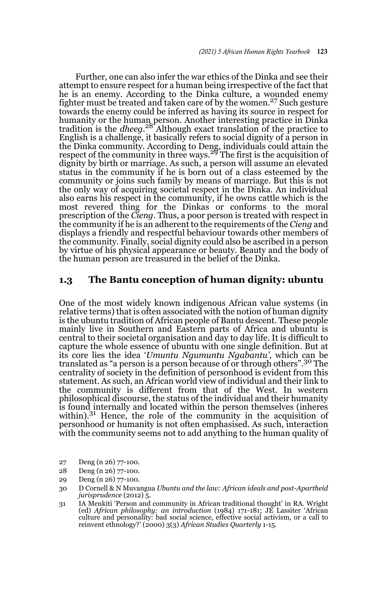Further, one can also infer the war ethics of the Dinka and see their attempt to ensure respect for a human being irrespective of the fact that he is an enemy. According to the Dinka culture, a wounded enemy fighter must be treated and taken care of by the women.<sup>27</sup> Such gesture towards the enemy could be inferred as having its source in respect for humanity or the human person. Another interesting practice in Dinka tradition is the *dheeg*. 28 Although exact translation of the practice to English is a challenge, it basically refers to social dignity of a person in the Dinka community. According to Deng, individuals could attain the respect of the community in three ways.<sup>29</sup> The first is the acquisition of dignity by birth or marriage. As such, a person will assume an elevated status in the community if he is born out of a class esteemed by the community or joins such family by means of marriage. But this is not the only way of acquiring societal respect in the Dinka. An individual also earns his respect in the community, if he owns cattle which is the most revered thing for the Dinkas or conforms to the moral prescription of the *Cieng*. Thus, a poor person is treated with respect in the community if he is an adherent to the requirements of the *Cieng* and displays a friendly and respectful behaviour towards other members of the community. Finally, social dignity could also be ascribed in a person by virtue of his physical appearance or beauty. Beauty and the body of the human person are treasured in the belief of the Dinka.

#### **1.3 The Bantu conception of human dignity: ubuntu**

One of the most widely known indigenous African value systems (in relative terms) that is often associated with the notion of human dignity is the ubuntu tradition of African people of Bantu descent. These people mainly live in Southern and Eastern parts of Africa and ubuntu is central to their societal organisation and day to day life. It is difficult to capture the whole essence of ubuntu with one single definition. But at its core lies the idea '*Umuntu Ngumuntu Ngabantu'*, which can be translated as "a person is a person because of or through others".30 The centrality of society in the definition of personhood is evident from this statement. As such, an African world view of individual and their link to the community is different from that of the West. In western philosophical discourse, the status of the individual and their humanity is found internally and located within the person themselves (inheres within).31 Hence, the role of the community in the acquisition of personhood or humanity is not often emphasised. As such, interaction with the community seems not to add anything to the human quality of

- 27 Deng (n 26) 77-100.
- 28 Deng (n 26) 77-100.
- 29 Deng (n 26) 77-100.
- 30 D Cornell & N Muvangua *Ubuntu and the law: African ideals and post-Apartheid jurisprudence* (2012) 5.
- 31 IA Menkiti 'Person and community in African traditional thought' in RA. Wright (ed) *African philosophy: an introduction* (1984) 171-181; JE Lassiter 'African culture and personality: bad social science, effective social activism, or a call to reinvent ethnology?' (2000) 3(3) *African Studies Quarterly* 1-15.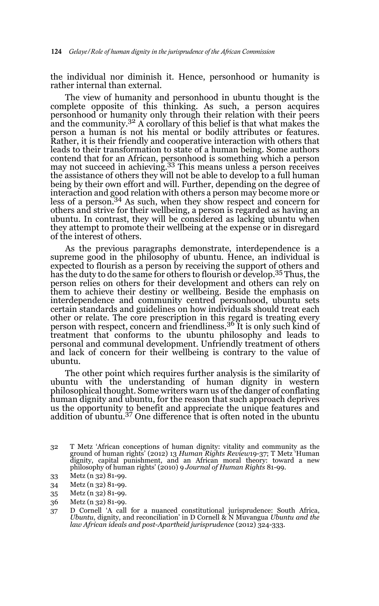the individual nor diminish it. Hence, personhood or humanity is rather internal than external.

The view of humanity and personhood in ubuntu thought is the complete opposite of this thinking. As such, a person acquires personhood or humanity only through their relation with their peers and the community.<sup>32</sup> A corollary of this belief is that what makes the person a human is not his mental or bodily attributes or features. Rather, it is their friendly and cooperative interaction with others that leads to their transformation to state of a human being. Some authors contend that for an African, personhood is something which a person may not succeed in achieving.33 This means unless a person receives the assistance of others they will not be able to develop to a full human being by their own effort and will. Further, depending on the degree of interaction and good relation with others a person may become more or less of a person.<sup>34</sup> As such, when they show respect and concern for others and strive for their wellbeing, a person is regarded as having an ubuntu. In contrast, they will be considered as lacking ubuntu when they attempt to promote their wellbeing at the expense or in disregard of the interest of others.

As the previous paragraphs demonstrate, interdependence is a supreme good in the philosophy of ubuntu. Hence, an individual is expected to flourish as a person by receiving the support of others and has the duty to do the same for others to flourish or develop.35 Thus, the person relies on others for their development and others can rely on them to achieve their destiny or wellbeing. Beside the emphasis on interdependence and community centred personhood, ubuntu sets certain standards and guidelines on how individuals should treat each other or relate. The core prescription in this regard is treating every<br>person with respect, concern and friendliness.<sup>36</sup> It is only such kind of treatment that conforms to the ubuntu philosophy and leads to personal and communal development. Unfriendly treatment of others and lack of concern for their wellbeing is contrary to the value of ubuntu.

The other point which requires further analysis is the similarity of ubuntu with the understanding of human dignity in western philosophical thought. Some writers warn us of the danger of conflating human dignity and ubuntu, for the reason that such approach deprives us the opportunity to benefit and appreciate the unique features and addition of ubuntu.37 One difference that is often noted in the ubuntu

- 33 Metz (n 32) 81-99.
- 34 Metz (n 32) 81-99.
- 35 Metz (n 32) 81-99.
- 36 Metz (n 32) 81-99.
- 37 D Cornell 'A call for a nuanced constitutional jurisprudence: South Africa, *Ubuntu*, dignity, and reconciliation' in D Cornell & N Muvangua *Ubuntu and the law African ideals and post-Apartheid jurisprudence* (2012) 324-333.

<sup>32</sup> T Metz 'African conceptions of human dignity: vitality and community as the ground of human rights' (2012) 13 *Human Rights Review*19-37; T Metz 'Human dignity, capital punishment, and an African moral theory: toward a new philosophy of human rights' (2010) 9 *Journal of Human Rights* 81-99.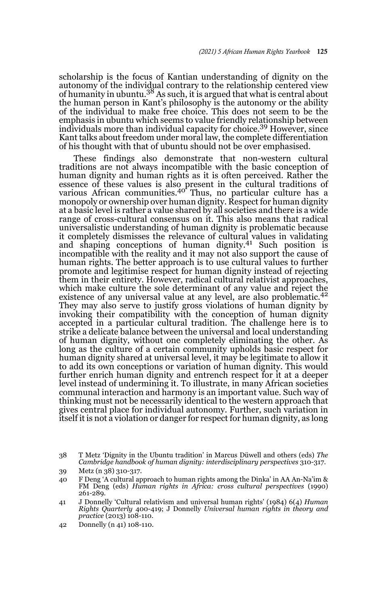scholarship is the focus of Kantian understanding of dignity on the autonomy of the individual contrary to the relationship centered view<br>of humanity in ubuntu.<sup>38</sup> As such, it is argued that what is central about the human person in Kant's philosophy is the autonomy or the ability of the individual to make free choice. This does not seem to be the emphasis in ubuntu which seems to value friendly relationship between individuals more than individual capacity for choice.39 However, since Kant talks about freedom under moral law, the complete differentiation of his thought with that of ubuntu should not be over emphasised.

These findings also demonstrate that non-western cultural traditions are not always incompatible with the basic conception of human dignity and human rights as it is often perceived. Rather the essence of these values is also present in the cultural traditions of various African communities.<sup>40</sup> Thus, no particular culture has a monopoly or ownership over human dignity. Respect for human dignity at a basic level is rather a value shared by all societies and there is a wide range of cross-cultural consensus on it. This also means that radical universalistic understanding of human dignity is problematic because it completely dismisses the relevance of cultural values in validating<br>and shaping conceptions of human dignity.<sup>41</sup> Such position is incompatible with the reality and it may not also support the cause of human rights. The better approach is to use cultural values to further promote and legitimise respect for human dignity instead of rejecting them in their entirety. However, radical cultural relativist approaches, which make culture the sole determinant of any value and reject the existence of any universal value at any level, are also problematic.<sup>42</sup> They may also serve to justify gross violations of human dignity by invoking their compatibility with the conception of human dignity accepted in a particular cultural tradition. The challenge here is to strike a delicate balance between the universal and local understanding of human dignity, without one completely eliminating the other. As long as the culture of a certain community upholds basic respect for human dignity shared at universal level, it may be legitimate to allow it to add its own conceptions or variation of human dignity. This would further enrich human dignity and entrench respect for it at a deeper level instead of undermining it. To illustrate, in many African societies communal interaction and harmony is an important value. Such way of thinking must not be necessarily identical to the western approach that gives central place for individual autonomy. Further, such variation in itself it is not a violation or danger for respect for human dignity, as long

39 Metz (n 38) 310-317.

42 Donnelly (n 41) 108-110.

<sup>38</sup> T Metz 'Dignity in the Ubuntu tradition' in Marcus Düwell and others (eds) *The Cambridge handbook of human dignity: interdisciplinary perspectives* 310-317.

<sup>40</sup> F Deng 'A cultural approach to human rights among the Dinka' in AA An-Na'im & FM Deng (eds) *Human rights in Africa: cross cultural perspectives* (1990) 261-289.

<sup>41</sup> J Donnelly 'Cultural relativism and universal human rights' (1984) 6(4) *Human Rights Quarterly* 400-419; J Donnelly *Universal human rights in theory and practice* (2013) 108-110.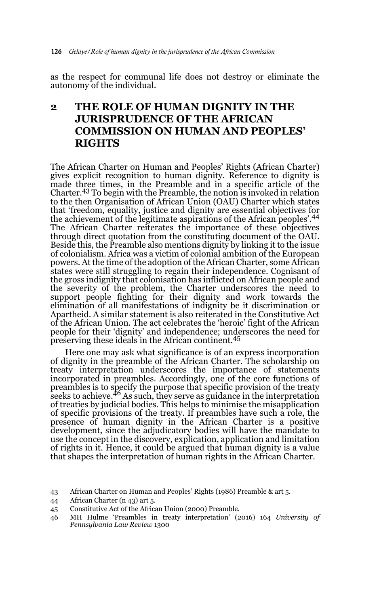as the respect for communal life does not destroy or eliminate the autonomy of the individual.

# **2 THE ROLE OF HUMAN DIGNITY IN THE JURISPRUDENCE OF THE AFRICAN COMMISSION ON HUMAN AND PEOPLES' RIGHTS**

The African Charter on Human and Peoples' Rights (African Charter) gives explicit recognition to human dignity. Reference to dignity is made three times, in the Preamble and in a specific article of the Charter.43 To begin with the Preamble, the notion is invoked in relation to the then Organisation of African Union (OAU) Charter which states that 'freedom, equality, justice and dignity are essential objectives for the achievement of the legitimate aspirations of the African peoples'.<sup>44</sup> The African Charter reiterates the importance of these objectives through direct quotation from the constituting document of the OAU. Beside this, the Preamble also mentions dignity by linking it to the issue of colonialism. Africa was a victim of colonial ambition of the European powers. At the time of the adoption of the African Charter, some African states were still struggling to regain their independence. Cognisant of the gross indignity that colonisation has inflicted on African people and the severity of the problem, the Charter underscores the need to support people fighting for their dignity and work towards the elimination of all manifestations of indignity be it discrimination or Apartheid. A similar statement is also reiterated in the Constitutive Act of the African Union. The act celebrates the 'heroic' fight of the African people for their 'dignity' and independence; underscores the need for preserving these ideals in the African continent.<sup>45</sup>

Here one may ask what significance is of an express incorporation of dignity in the preamble of the African Charter. The scholarship on treaty interpretation underscores the importance of statements incorporated in preambles. Accordingly, one of the core functions of preambles is to specify the purpose that specific provision of the treaty<br>seeks to achieve.<sup>46</sup> As such, they serve as guidance in the interpretation of treaties by judicial bodies. This helps to minimise the misapplication of specific provisions of the treaty. If preambles have such a role, the presence of human dignity in the African Charter is a positive development, since the adjudicatory bodies will have the mandate to use the concept in the discovery, explication, application and limitation of rights in it. Hence, it could be argued that human dignity is a value that shapes the interpretation of human rights in the African Charter.

- 44 African Charter (n 43) art 5.
- 45 Constitutive Act of the African Union (2000) Preamble.
- 46 MH Hulme 'Preambles in treaty interpretation' (2016) 164 *University of Pennsylvania Law Review* 1300

<sup>43</sup> African Charter on Human and Peoples' Rights (1986) Preamble & art 5.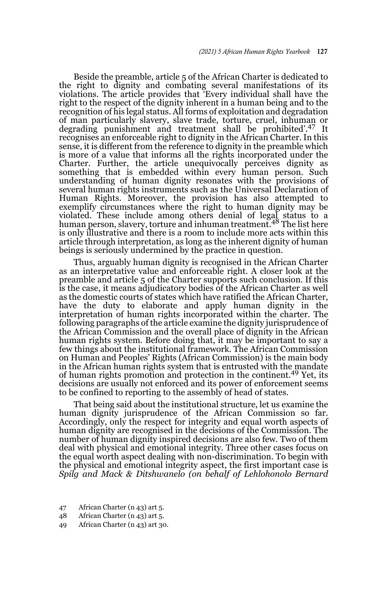Beside the preamble, article 5 of the African Charter is dedicated to the right to dignity and combating several manifestations of its violations. The article provides that 'Every individual shall have the right to the respect of the dignity inherent in a human being and to the recognition of his legal status. All forms of exploitation and degradation of man particularly slavery, slave trade, torture, cruel, inhuman or degrading punishment and treatment shall be prohibited'.47 It recognises an enforceable right to dignity in the African Charter. In this sense, it is different from the reference to dignity in the preamble which is more of a value that informs all the rights incorporated under the Charter. Further, the article unequivocally perceives dignity as something that is embedded within every human person. Such understanding of human dignity resonates with the provisions of several human rights instruments such as the Universal Declaration of Human Rights. Moreover, the provision has also attempted to exemplify circumstances where the right to human dignity may be violated. These include among others denial of legal status to a human person, slavery, torture and inhuman treatment.<sup>48</sup> The list here is only illustrative and there is a room to include more acts within this article through interpretation, as long as the inherent dignity of human beings is seriously undermined by the practice in question.

Thus, arguably human dignity is recognised in the African Charter as an interpretative value and enforceable right. A closer look at the preamble and article 5 of the Charter supports such conclusion. If this is the case, it means adjudicatory bodies of the African Charter as well as the domestic courts of states which have ratified the African Charter, have the duty to elaborate and apply human dignity in the interpretation of human rights incorporated within the charter. The following paragraphs of the article examine the dignity jurisprudence of the African Commission and the overall place of dignity in the African human rights system. Before doing that, it may be important to say a few things about the institutional framework. The African Commission on Human and Peoples' Rights (African Commission) is the main body in the African human rights system that is entrusted with the mandate of human rights promotion and protection in the continent.49 Yet, its decisions are usually not enforced and its power of enforcement seems to be confined to reporting to the assembly of head of states.

That being said about the institutional structure, let us examine the human dignity jurisprudence of the African Commission so far. Accordingly, only the respect for integrity and equal worth aspects of human dignity are recognised in the decisions of the Commission. The number of human dignity inspired decisions are also few. Two of them deal with physical and emotional integrity. Three other cases focus on the equal worth aspect dealing with non-discrimination. To begin with the physical and emotional integrity aspect, the first important case is *Spilg and Mack & Ditshwanelo (on behalf of Lehlohonolo Bernard*

- 47 African Charter (n 43) art 5.
- 48 African Charter (n 43) art 5.
- 49 African Charter (n 43) art 30.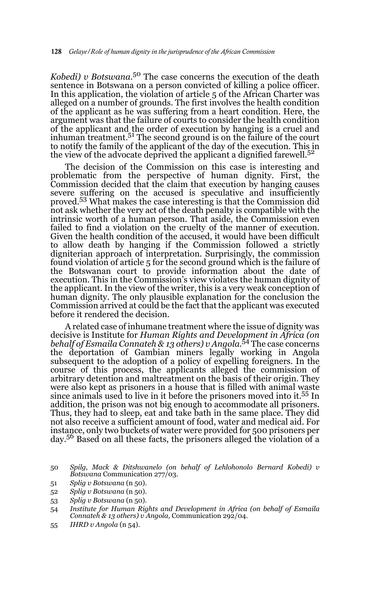*Kobedi) v Botswana*. 50 The case concerns the execution of the death sentence in Botswana on a person convicted of killing a police officer. In this application, the violation of article 5 of the African Charter was alleged on a number of grounds. The first involves the health condition of the applicant as he was suffering from a heart condition. Here, the argument was that the failure of courts to consider the health condition of the applicant and the order of execution by hanging is a cruel and inhuman treatment.<sup>51</sup> The second ground is on the failure of the court to notify the family of the applicant of the day of the execution. This in the view of the advocate deprived the applicant a dignified farewell.<sup>52</sup>

The decision of the Commission on this case is interesting and problematic from the perspective of human dignity. First, the Commission decided that the claim that execution by hanging causes severe suffering on the accused is speculative and insufficiently proved.53 What makes the case interesting is that the Commission did not ask whether the very act of the death penalty is compatible with the intrinsic worth of a human person. That aside, the Commission even failed to find a violation on the cruelty of the manner of execution. Given the health condition of the accused, it would have been difficult to allow death by hanging if the Commission followed a strictly digniterian approach of interpretation. Surprisingly, the commission found violation of article 5 for the second ground which is the failure of the Botswanan court to provide information about the date of execution. This in the Commission's view violates the human dignity of the applicant. In the view of the writer, this is a very weak conception of human dignity. The only plausible explanation for the conclusion the Commission arrived at could be the fact that the applicant was executed before it rendered the decision.

A related case of inhumane treatment where the issue of dignity was decisive is Institute for *Human Rights and Development in Africa (on behalf of Esmaila Connateh & 13 others) v Angola*. 54 The case concerns the deportation of Gambian miners legally working in Angola subsequent to the adoption of a policy of expelling foreigners. In the course of this process, the applicants alleged the commission of arbitrary detention and maltreatment on the basis of their origin. They were also kept as prisoners in a house that is filled with animal waste since animals used to live in it before the prisoners moved into it.55 In addition, the prison was not big enough to accommodate all prisoners. Thus, they had to sleep, eat and take bath in the same place. They did not also receive a sufficient amount of food, water and medical aid. For instance, only two buckets of water were provided for 500 prisoners per day.56 Based on all these facts, the prisoners alleged the violation of a

- 51 *Splig v Botswana* (n 50).
- 52 *Splig v Botswana* (n 50).
- 53 *Splig v Botswana* (n 50).
- 54 *Institute for Human Rights and Development in Africa (on behalf of Esmaila Connateh & 13 others) v Angola,* Communication 292/04.
- 55 *IHRD v Angola* (n 54).

<sup>50</sup> *Spilg, Mack & Ditshwanelo (on behalf of Lehlohonolo Bernard Kobedi) v Botswana* Communication 277/03.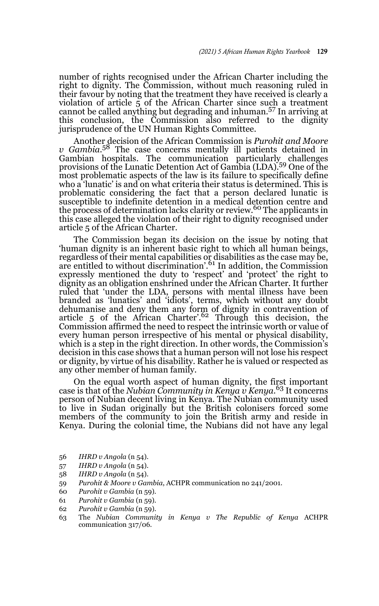number of rights recognised under the African Charter including the right to dignity. The Commission, without much reasoning ruled in their favour by noting that the treatment they have received is clearly a violation of article 5 of the African Charter since such a treatment cannot be called anything but degrading and inhuman.57 In arriving at this conclusion, the Commission also referred to the dignity jurisprudence of the UN Human Rights Committee.

Another decision of the African Commission is *Purohit and Moore v* Gambia.<sup>58</sup> The case concerns mentally ill patients detained in Gambian hospitals. The communication particularly challenges provisions of the Lunatic Detention Act of Gambia (LDA).<sup>59</sup> One of the most problematic aspects of the law is its failure to specifically define who a 'lunatic' is and on what criteria their status is determined. This is problematic considering the fact that a person declared lunatic is susceptible to indefinite detention in a medical detention centre and the process of determination lacks clarity or review.<sup>60</sup> The applicants in this case alleged the violation of their right to dignity recognised under article 5 of the African Charter.

The Commission began its decision on the issue by noting that 'human dignity is an inherent basic right to which all human beings, regardless of their mental capabilities or disabilities as the case may be,<br>are entitled to without discrimination'.<sup>61</sup> In addition, the Commission expressly mentioned the duty to 'respect' and 'protect' the right to dignity as an obligation enshrined under the African Charter. It further ruled that 'under the LDA, persons with mental illness have been branded as 'lunatics' and 'idiots', terms, which without any doubt dehumanise and deny them any form of dignity in contravention of article 5 of the African Charter'.62 Through this decision, the Commission affirmed the need to respect the intrinsic worth or value of every human person irrespective of his mental or physical disability, which is a step in the right direction. In other words, the Commission's decision in this case shows that a human person will not lose his respect or dignity, by virtue of his disability. Rather he is valued or respected as any other member of human family.

On the equal worth aspect of human dignity, the first important case is that of the *Nubian Community in Kenya v Kenya*. 63 It concerns person of Nubian decent living in Kenya. The Nubian community used to live in Sudan originally but the British colonisers forced some members of the community to join the British army and reside in Kenya. During the colonial time, the Nubians did not have any legal

- 56 *IHRD v Angola* (n 54).
- 57 *IHRD v Angola* (n 54).
- 58 *IHRD v Angola* (n 54).
- 59 *Purohit & Moore v Gambia*, ACHPR communication no 241/2001.
- 60 *Purohit v Gambia* (n 59).
- 61 *Purohit v Gambia* (n 59).
- 62 *Purohit v Gambia* (n 59).
- 63 The *Nubian Community in Kenya v The Republic of Kenya* ACHPR communication 317/06.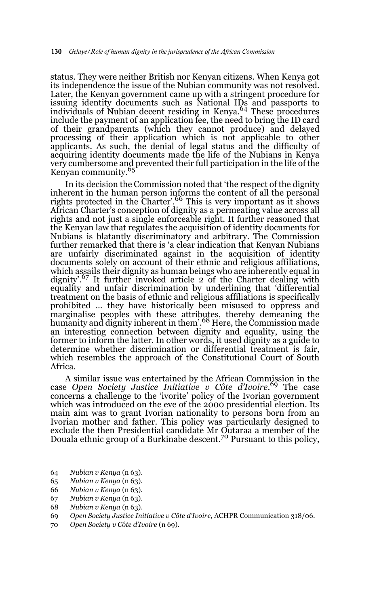status. They were neither British nor Kenyan citizens. When Kenya got its independence the issue of the Nubian community was not resolved. Later, the Kenyan government came up with a stringent procedure for issuing identity documents such as National IDs and passports to individuals of Nubian decent residing in Kenya.<sup>64</sup> These procedures include the payment of an application fee, the need to bring the ID card of their grandparents (which they cannot produce) and delayed processing of their application which is not applicable to other applicants. As such, the denial of legal status and the difficulty of acquiring identity documents made the life of the Nubians in Kenya very cumbersome and prevented their full participation in the life of the Kenyan community.<sup>65</sup>

In its decision the Commission noted that 'the respect of the dignity inherent in the human person informs the content of all the personal rights protected in the Charter'.<sup>66</sup> This is very important as it shows African Charter's conception of dignity as a permeating value across all rights and not just a single enforceable right. It further reasoned that the Kenyan law that regulates the acquisition of identity documents for Nubians is blatantly discriminatory and arbitrary. The Commission further remarked that there is 'a clear indication that Kenyan Nubians are unfairly discriminated against in the acquisition of identity documents solely on account of their ethnic and religious affiliations, which assails their dignity as human beings who are inherently equal in dignity'.<sup>67</sup> It further invoked article 2 of the Charter dealing with equality and unfair discrimination by underlining that 'differential treatment on the basis of ethnic and religious affiliations is specifically prohibited … they have historically been misused to oppress and marginalise peoples with these attributes, thereby demeaning the<br>humanity and dignity inherent in them'.<sup>68</sup> Here, the Commission made an interesting connection between dignity and equality, using the former to inform the latter. In other words, it used dignity as a guide to determine whether discrimination or differential treatment is fair, which resembles the approach of the Constitutional Court of South Africa.

A similar issue was entertained by the African Commission in the case *Open Society Justice Initiative v Côte d'Ivoire*. 69 The case concerns a challenge to the 'ivorite' policy of the Ivorian government which was introduced on the eve of the 2000 presidential election. Its main aim was to grant Ivorian nationality to persons born from an Ivorian mother and father. This policy was particularly designed to exclude the then Presidential candidate Mr Outaraa a member of the Douala ethnic group of a Burkinabe descent.<sup>70</sup> Pursuant to this policy,

- 64 *Nubian v Kenya* (n 63).
- 65 *Nubian v Kenya* (n 63).
- 66 *Nubian v Kenya* (n 63).
- 67 *Nubian v Kenya* (n 63).
- 68 *Nubian v Kenya* (n 63).
- 69 *Open Society Justice Initiative v Côte d'Ivoire,* ACHPR Communication 318/06.
- 70 *Open Society v Côte d'Ivoire* (n 69).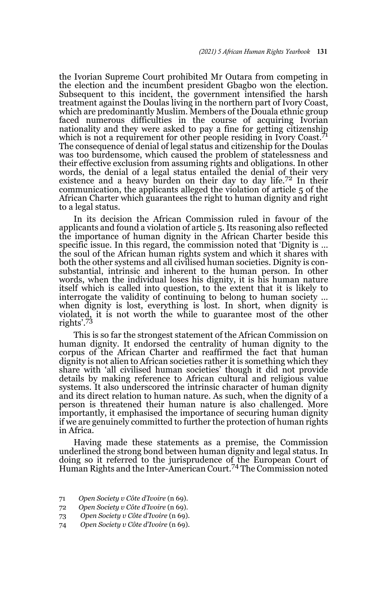the Ivorian Supreme Court prohibited Mr Outara from competing in the election and the incumbent president Gbagbo won the election. Subsequent to this incident, the government intensified the harsh treatment against the Doulas living in the northern part of Ivory Coast, which are predominantly Muslim. Members of the Douala ethnic group faced numerous difficulties in the course of acquiring Ivorian nationality and they were asked to pay a fine for getting citizenship which is not a requirement for other people residing in Ivory Coast.<sup>71</sup> The consequence of denial of legal status and citizenship for the Doulas was too burdensome, which caused the problem of statelessness and their effective exclusion from assuming rights and obligations. In other words, the denial of a legal status entailed the denial of their very existence and a heavy burden on their day to day life.<sup>72</sup> In their communication, the applicants alleged the violation of article 5 of the African Charter which guarantees the right to human dignity and right to a legal status.

In its decision the African Commission ruled in favour of the applicants and found a violation of article 5. Its reasoning also reflected the importance of human dignity in the African Charter beside this specific issue. In this regard, the commission noted that 'Dignity is … the soul of the African human rights system and which it shares with both the other systems and all civilised human societies. Dignity is consubstantial, intrinsic and inherent to the human person. In other words, when the individual loses his dignity, it is his human nature itself which is called into question, to the extent that it is likely to interrogate the validity of continuing to belong to human society … when dignity is lost, everything is lost. In short, when dignity is violated, it is not worth the while to guarantee most of the other rights'.73

This is so far the strongest statement of the African Commission on human dignity. It endorsed the centrality of human dignity to the corpus of the African Charter and reaffirmed the fact that human dignity is not alien to African societies rather it is something which they share with 'all civilised human societies' though it did not provide details by making reference to African cultural and religious value systems. It also underscored the intrinsic character of human dignity and its direct relation to human nature. As such, when the dignity of a person is threatened their human nature is also challenged. More importantly, it emphasised the importance of securing human dignity if we are genuinely committed to further the protection of human rights in Africa.

Having made these statements as a premise, the Commission underlined the strong bond between human dignity and legal status. In doing so it referred to the jurisprudence of the European Court of<br>Human Rights and the Inter-American Court.<sup>74</sup> The Commission noted

- 71 *Open Society v Côte d'Ivoire* (n 69).
- 72 *Open Society v Côte d'Ivoire* (n 69).
- 73 *Open Society v Côte d'Ivoire* (n 69).
- 74 *Open Society v Côte d'Ivoire* (n 69).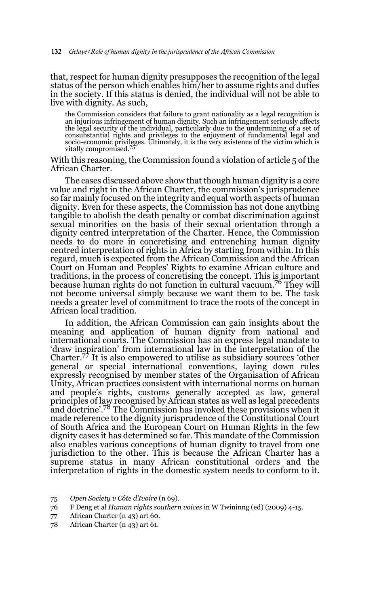that, respect for human dignity presupposes the recognition of the legal status of the person which enables him/her to assume rights and duties in the society. If this status is denied, the individual will not be able to live with dignity. As such,

the Commission considers that failure to grant nationality as a legal recognition is an injurious infringement of human dignity. Such an infringement seriously affects the legal security of the individual, particularly due to the undermining of a set of consubstantial rights and privileges to the enjoyment of fundamental legal and socio-economic privileges. Ultimately, it is the very existence of the victim which is vitally compromised.<sup>75</sup>

With this reasoning, the Commission found a violation of article 5 of the African Charter.

The cases discussed above show that though human dignity is a core value and right in the African Charter, the commission's jurisprudence so far mainly focused on the integrity and equal worth aspects of human dignity. Even for these aspects, the Commission has not done anything tangible to abolish the death penalty or combat discrimination against sexual minorities on the basis of their sexual orientation through a dignity centred interpretation of the Charter. Hence, the Commission needs to do more in concretising and entrenching human dignity centred interpretation of rights in Africa by starting from within. In this regard, much is expected from the African Commission and the African Court on Human and Peoples' Rights to examine African culture and traditions, in the process of concretising the concept. This is important because human rights do not function in cultural vacuum.76 They will not become universal simply because we want them to be. The task needs a greater level of commitment to trace the roots of the concept in African local tradition.

In addition, the African Commission can gain insights about the meaning and application of human dignity from national and international courts. The Commission has an express legal mandate to 'draw inspiration' from international law in the interpretation of the Charter.77 It is also empowered to utilise as subsidiary sources 'other general or special international conventions, laying down rules expressly recognised by member states of the Organisation of African Unity, African practices consistent with international norms on human and people's rights, customs generally accepted as law, general principles of law recognised by African states as well as legal precedents and doctrine'.78 The Commission has invoked these provisions when it made reference to the dignity jurisprudence of the Constitutional Court of South Africa and the European Court on Human Rights in the few dignity cases it has determined so far. This mandate of the Commission also enables various conceptions of human dignity to travel from one jurisdiction to the other. This is because the African Charter has a supreme status in many African constitutional orders and the interpretation of rights in the domestic system needs to conform to it.

- 76 F Deng et al *Human rights southern voices* in W Twininng (ed) (2009) 4-15.
- 77 African Charter (n 43) art 60.
- 78 African Charter (n 43) art 61.

<sup>75</sup> *Open Society v Côte d'Ivoire* (n 69).